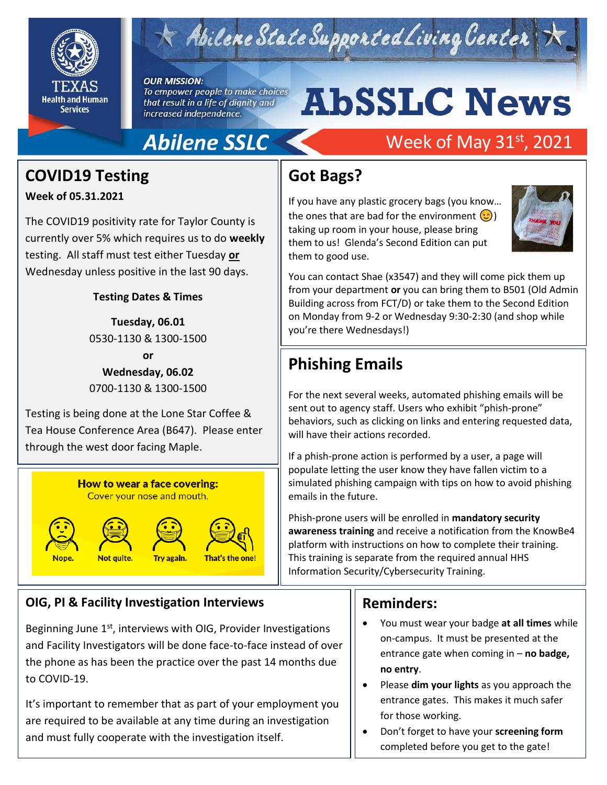

## Abilene State Supported Living Center

#### **OUR MISSION:**

To empower people to make choices that result in a life of dignity and increased independence.

# **AbSSLC News**

## **Abilene SSLC**

## **COVID19 Testing**

**Week of 05.31.2021**

The COVID19 positivity rate for Taylor County is currently over 5% which requires us to do **weekly** testing. All staff must test either Tuesday **or** Wednesday unless positive in the last 90 days.

#### **Testing Dates & Times**

**Tuesday, 06.01** 0530-1130 & 1300-1500 **or Wednesday, 06.02**

0700-1130 & 1300-1500

Testing is being done at the Lone Star Coffee & Tea House Conference Area (B647). Please enter through the west door facing Maple.



#### **OIG, PI & Facility Investigation Interviews**

Beginning June  $1<sup>st</sup>$ , interviews with OIG, Provider Investigations and Facility Investigators will be done face-to-face instead of over the phone as has been the practice over the past 14 months due to COVID-19.

It's important to remember that as part of your employment you are required to be available at any time during an investigation and must fully cooperate with the investigation itself.

## Week of May 31st, 2021

### **Got Bags?**

If you have any plastic grocery bags (you know… the ones that are bad for the environment  $\left( \mathcal{C} \right)$ taking up room in your house, please bring them to us! Glenda's Second Edition can put them to good use.



You can contact Shae (x3547) and they will come pick them up from your department **or** you can bring them to B501 (Old Admin Building across from FCT/D) or take them to the Second Edition on Monday from 9-2 or Wednesday 9:30-2:30 (and shop while you're there Wednesdays!)

## **Phishing Emails**

For the next several weeks, automated phishing emails will be sent out to agency staff. Users who exhibit "phish-prone" behaviors, such as clicking on links and entering requested data, will have their actions recorded.

If a phish-prone action is performed by a user, a page will populate letting the user know they have fallen victim to a simulated phishing campaign with tips on how to avoid phishing emails in the future.

Phish-prone users will be enrolled in **mandatory security awareness training** and receive a notification from the KnowBe4 platform with instructions on how to complete their training. This training is separate from the required annual HHS Information Security/Cybersecurity Training.

#### **Reminders:**

- You must wear your badge **at all times** while on-campus. It must be presented at the entrance gate when coming in – **no badge, no entry**.
- Please **dim your lights** as you approach the entrance gates. This makes it much safer for those working.
- Don't forget to have your **screening form**  completed before you get to the gate!